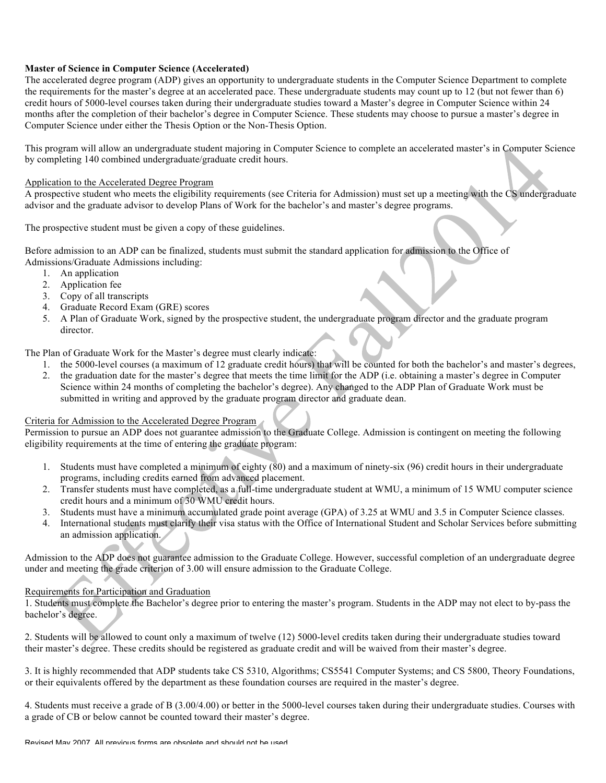# **Master of Science in Computer Science (Accelerated)**

The accelerated degree program (ADP) gives an opportunity to undergraduate students in the Computer Science Department to complete the requirements for the master's degree at an accelerated pace. These undergraduate students may count up to 12 (but not fewer than 6) credit hours of 5000-level courses taken during their undergraduate studies toward a Master's degree in Computer Science within 24 months after the completion of their bachelor's degree in Computer Science. These students may choose to pursue a master's degree in Computer Science under either the Thesis Option or the Non-Thesis Option.

This program will allow an undergraduate student majoring in Computer Science to complete an accelerated master's in Computer Science by completing 140 combined undergraduate/graduate credit hours.

## Application to the Accelerated Degree Program

A prospective student who meets the eligibility requirements (see Criteria for Admission) must set up a meeting with the CS undergraduate advisor and the graduate advisor to develop Plans of Work for the bachelor's and master's degree programs.

The prospective student must be given a copy of these guidelines.

Before admission to an ADP can be finalized, students must submit the standard application for admission to the Office of Admissions/Graduate Admissions including:

- 1. An application
- 2. Application fee
- 3. Copy of all transcripts
- 4. Graduate Record Exam (GRE) scores
- 5. A Plan of Graduate Work, signed by the prospective student, the undergraduate program director and the graduate program director.

The Plan of Graduate Work for the Master's degree must clearly indicate:

- 1. the 5000-level courses (a maximum of 12 graduate credit hours) that will be counted for both the bachelor's and master's degrees,
- 2. the graduation date for the master's degree that meets the time limit for the ADP (i.e. obtaining a master's degree in Computer Science within 24 months of completing the bachelor's degree). Any changed to the ADP Plan of Graduate Work must be submitted in writing and approved by the graduate program director and graduate dean.

## Criteria for Admission to the Accelerated Degree Program

Permission to pursue an ADP does not guarantee admission to the Graduate College. Admission is contingent on meeting the following eligibility requirements at the time of entering the graduate program:

- 1. Students must have completed a minimum of eighty  $(80)$  and a maximum of ninety-six  $(96)$  credit hours in their undergraduate programs, including credits earned from advanced placement.
- 2. Transfer students must have completed, as a full-time undergraduate student at WMU, a minimum of 15 WMU computer science credit hours and a minimum of 30 WMU credit hours.
- 3. Students must have a minimum accumulated grade point average (GPA) of 3.25 at WMU and 3.5 in Computer Science classes.
- 4. International students must clarify their visa status with the Office of International Student and Scholar Services before submitting an admission application.

Admission to the ADP does not guarantee admission to the Graduate College. However, successful completion of an undergraduate degree under and meeting the grade criterion of 3.00 will ensure admission to the Graduate College.

## Requirements for Participation and Graduation

1. Students must complete the Bachelor's degree prior to entering the master's program. Students in the ADP may not elect to by-pass the bachelor's degree.

2. Students will be allowed to count only a maximum of twelve (12) 5000-level credits taken during their undergraduate studies toward their master's degree. These credits should be registered as graduate credit and will be waived from their master's degree.

3. It is highly recommended that ADP students take CS 5310, Algorithms; CS5541 Computer Systems; and CS 5800, Theory Foundations, or their equivalents offered by the department as these foundation courses are required in the master's degree.

4. Students must receive a grade of B (3.00/4.00) or better in the 5000-level courses taken during their undergraduate studies. Courses with a grade of CB or below cannot be counted toward their master's degree.